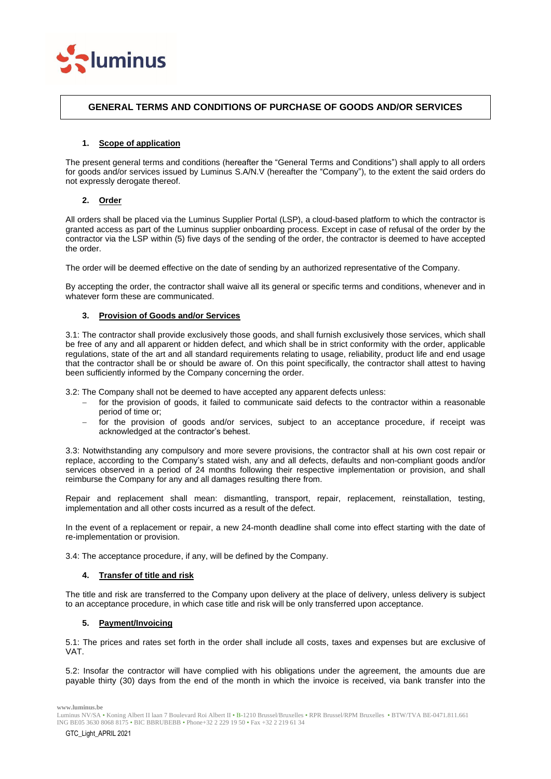

# **GENERAL TERMS AND CONDITIONS OF PURCHASE OF GOODS AND/OR SERVICES**

## **1. Scope of application**

The present general terms and conditions (hereafter the "General Terms and Conditions") shall apply to all orders for goods and/or services issued by Luminus S.A/N.V (hereafter the "Company"), to the extent the said orders do not expressly derogate thereof.

# **2. Order**

All orders shall be placed via the Luminus Supplier Portal (LSP), a cloud-based platform to which the contractor is granted access as part of the Luminus supplier onboarding process. Except in case of refusal of the order by the contractor via the LSP within (5) five days of the sending of the order, the contractor is deemed to have accepted the order.

The order will be deemed effective on the date of sending by an authorized representative of the Company.

By accepting the order, the contractor shall waive all its general or specific terms and conditions, whenever and in whatever form these are communicated.

### **3. Provision of Goods and/or Services**

3.1: The contractor shall provide exclusively those goods, and shall furnish exclusively those services, which shall be free of any and all apparent or hidden defect, and which shall be in strict conformity with the order, applicable regulations, state of the art and all standard requirements relating to usage, reliability, product life and end usage that the contractor shall be or should be aware of. On this point specifically, the contractor shall attest to having been sufficiently informed by the Company concerning the order.

3.2: The Company shall not be deemed to have accepted any apparent defects unless:

- for the provision of goods, it failed to communicate said defects to the contractor within a reasonable period of time or;
- − for the provision of goods and/or services, subject to an acceptance procedure, if receipt was acknowledged at the contractor's behest.

3.3: Notwithstanding any compulsory and more severe provisions, the contractor shall at his own cost repair or replace, according to the Company's stated wish, any and all defects, defaults and non-compliant goods and/or services observed in a period of 24 months following their respective implementation or provision, and shall reimburse the Company for any and all damages resulting there from.

Repair and replacement shall mean: dismantling, transport, repair, replacement, reinstallation, testing, implementation and all other costs incurred as a result of the defect.

In the event of a replacement or repair, a new 24-month deadline shall come into effect starting with the date of re-implementation or provision.

3.4: The acceptance procedure, if any, will be defined by the Company.

### **4. Transfer of title and risk**

The title and risk are transferred to the Company upon delivery at the place of delivery, unless delivery is subject to an acceptance procedure, in which case title and risk will be only transferred upon acceptance.

### **5. Payment/Invoicing**

5.1: The prices and rates set forth in the order shall include all costs, taxes and expenses but are exclusive of VAT.

5.2: Insofar the contractor will have complied with his obligations under the agreement, the amounts due are payable thirty (30) days from the end of the month in which the invoice is received, via bank transfer into the

Luminus NV/SA • Koning Albert II laan 7 Boulevard Roi Albert II • B-1210 Brussel/Bruxelles • RPR Brussel/RPM Bruxelles • BTW/TVA BE-0471.811.661 ING BE05 3630 8068 8175 • BIC BBRUBEBB • Phone+32 2 229 19 50 • Fax +32 2 219 61 34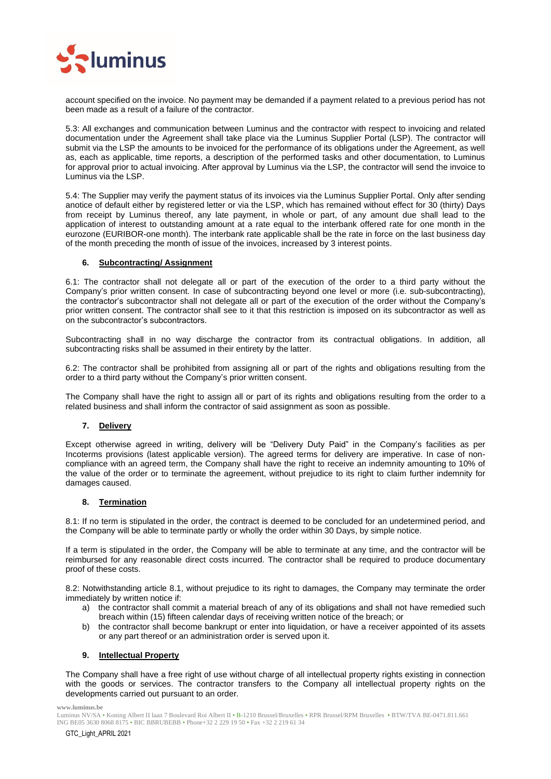

account specified on the invoice. No payment may be demanded if a payment related to a previous period has not been made as a result of a failure of the contractor.

5.3: All exchanges and communication between Luminus and the contractor with respect to invoicing and related documentation under the Agreement shall take place via the Luminus Supplier Portal (LSP). The contractor will submit via the LSP the amounts to be invoiced for the performance of its obligations under the Agreement, as well as, each as applicable, time reports, a description of the performed tasks and other documentation, to Luminus for approval prior to actual invoicing. After approval by Luminus via the LSP, the contractor will send the invoice to Luminus via the LSP.

5.4: The Supplier may verify the payment status of its invoices via the Luminus Supplier Portal. Only after sending anotice of default either by registered letter or via the LSP, which has remained without effect for 30 (thirty) Days from receipt by Luminus thereof, any late payment, in whole or part, of any amount due shall lead to the application of interest to outstanding amount at a rate equal to the interbank offered rate for one month in the eurozone (EURIBOR-one month). The interbank rate applicable shall be the rate in force on the last business day of the month preceding the month of issue of the invoices, increased by 3 interest points.

### **6. Subcontracting/ Assignment**

6.1: The contractor shall not delegate all or part of the execution of the order to a third party without the Company's prior written consent. In case of subcontracting beyond one level or more (i.e. sub-subcontracting), the contractor's subcontractor shall not delegate all or part of the execution of the order without the Company's prior written consent. The contractor shall see to it that this restriction is imposed on its subcontractor as well as on the subcontractor's subcontractors.

Subcontracting shall in no way discharge the contractor from its contractual obligations. In addition, all subcontracting risks shall be assumed in their entirety by the latter.

6.2: The contractor shall be prohibited from assigning all or part of the rights and obligations resulting from the order to a third party without the Company's prior written consent.

The Company shall have the right to assign all or part of its rights and obligations resulting from the order to a related business and shall inform the contractor of said assignment as soon as possible.

# **7. Delivery**

Except otherwise agreed in writing, delivery will be "Delivery Duty Paid" in the Company's facilities as per Incoterms provisions (latest applicable version). The agreed terms for delivery are imperative. In case of noncompliance with an agreed term, the Company shall have the right to receive an indemnity amounting to 10% of the value of the order or to terminate the agreement, without prejudice to its right to claim further indemnity for damages caused.

### **8. Termination**

8.1: If no term is stipulated in the order, the contract is deemed to be concluded for an undetermined period, and the Company will be able to terminate partly or wholly the order within 30 Days, by simple notice.

If a term is stipulated in the order, the Company will be able to terminate at any time, and the contractor will be reimbursed for any reasonable direct costs incurred. The contractor shall be required to produce documentary proof of these costs.

8.2: Notwithstanding article 8.1, without prejudice to its right to damages, the Company may terminate the order immediately by written notice if:

- a) the contractor shall commit a material breach of any of its obligations and shall not have remedied such breach within (15) fifteen calendar days of receiving written notice of the breach; or
- b) the contractor shall become bankrupt or enter into liquidation, or have a receiver appointed of its assets or any part thereof or an administration order is served upon it.

### **9. Intellectual Property**

The Company shall have a free right of use without charge of all intellectual property rights existing in connection with the goods or services. The contractor transfers to the Company all intellectual property rights on the developments carried out pursuant to an order.

Luminus NV/SA • Koning Albert II laan 7 Boulevard Roi Albert II • B-1210 Brussel/Bruxelles • RPR Brussel/RPM Bruxelles • BTW/TVA BE-0471.811.661 ING BE05 3630 8068 8175 • BIC BBRUBEBB • Phone+32 2 229 19 50 • Fax +32 2 219 61 34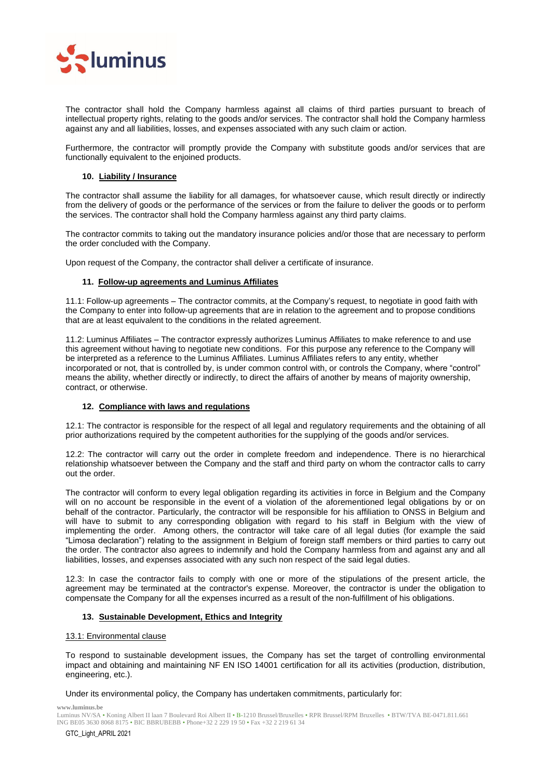

The contractor shall hold the Company harmless against all claims of third parties pursuant to breach of intellectual property rights, relating to the goods and/or services. The contractor shall hold the Company harmless against any and all liabilities, losses, and expenses associated with any such claim or action.

Furthermore, the contractor will promptly provide the Company with substitute goods and/or services that are functionally equivalent to the enjoined products.

# **10. Liability / Insurance**

The contractor shall assume the liability for all damages, for whatsoever cause, which result directly or indirectly from the delivery of goods or the performance of the services or from the failure to deliver the goods or to perform the services. The contractor shall hold the Company harmless against any third party claims.

The contractor commits to taking out the mandatory insurance policies and/or those that are necessary to perform the order concluded with the Company.

Upon request of the Company, the contractor shall deliver a certificate of insurance.

### **11. Follow-up agreements and Luminus Affiliates**

11.1: Follow-up agreements – The contractor commits, at the Company's request, to negotiate in good faith with the Company to enter into follow-up agreements that are in relation to the agreement and to propose conditions that are at least equivalent to the conditions in the related agreement.

11.2: Luminus Affiliates – The contractor expressly authorizes Luminus Affiliates to make reference to and use this agreement without having to negotiate new conditions. For this purpose any reference to the Company will be interpreted as a reference to the Luminus Affiliates. Luminus Affiliates refers to any entity, whether incorporated or not, that is controlled by, is under common control with, or controls the Company, where "control" means the ability, whether directly or indirectly, to direct the affairs of another by means of majority ownership, contract, or otherwise.

### **12. Compliance with laws and regulations**

12.1: The contractor is responsible for the respect of all legal and regulatory requirements and the obtaining of all prior authorizations required by the competent authorities for the supplying of the goods and/or services.

12.2: The contractor will carry out the order in complete freedom and independence. There is no hierarchical relationship whatsoever between the Company and the staff and third party on whom the contractor calls to carry out the order.

The contractor will conform to every legal obligation regarding its activities in force in Belgium and the Company will on no account be responsible in the event of a violation of the aforementioned legal obligations by or on behalf of the contractor. Particularly, the contractor will be responsible for his affiliation to ONSS in Belgium and will have to submit to any corresponding obligation with regard to his staff in Belgium with the view of implementing the order. Among others, the contractor will take care of all legal duties (for example the said "Limosa declaration") relating to the assignment in Belgium of foreign staff members or third parties to carry out the order. The contractor also agrees to indemnify and hold the Company harmless from and against any and all liabilities, losses, and expenses associated with any such non respect of the said legal duties.

12.3: In case the contractor fails to comply with one or more of the stipulations of the present article, the agreement may be terminated at the contractor's expense. Moreover, the contractor is under the obligation to compensate the Company for all the expenses incurred as a result of the non-fulfillment of his obligations.

### **13. Sustainable Development, Ethics and Integrity**

### 13.1: Environmental clause

To respond to sustainable development issues, the Company has set the target of controlling environmental impact and obtaining and maintaining NF EN ISO 14001 certification for all its activities (production, distribution, engineering, etc.).

Under its environmental policy, the Company has undertaken commitments, particularly for:

**www.luminus.be**

Luminus NV/SA • Koning Albert II laan 7 Boulevard Roi Albert II • B-1210 Brussel/Bruxelles • RPR Brussel/RPM Bruxelles • BTW/TVA BE-0471.811.661 ING BE05 3630 8068 8175 • BIC BBRUBEBB • Phone+32 2 229 19 50 • Fax +32 2 219 61 34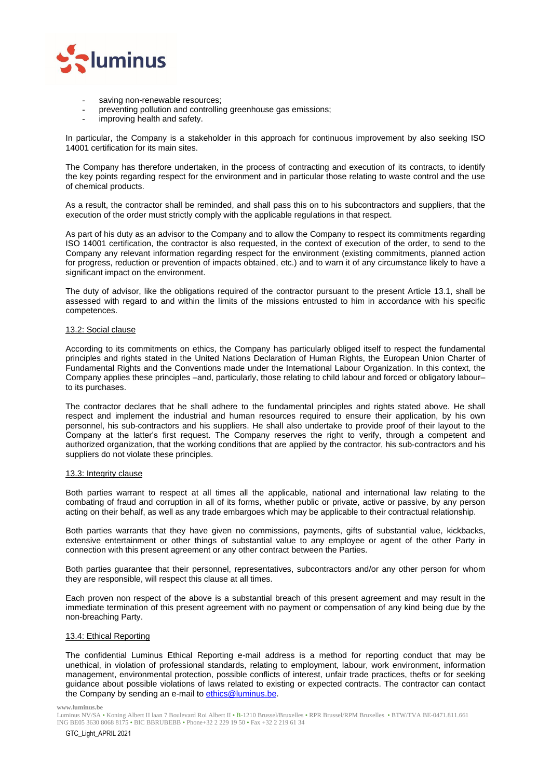

- saving non-renewable resources;
- preventing pollution and controlling greenhouse gas emissions;
- improving health and safety.

In particular, the Company is a stakeholder in this approach for continuous improvement by also seeking ISO 14001 certification for its main sites.

The Company has therefore undertaken, in the process of contracting and execution of its contracts, to identify the key points regarding respect for the environment and in particular those relating to waste control and the use of chemical products.

As a result, the contractor shall be reminded, and shall pass this on to his subcontractors and suppliers, that the execution of the order must strictly comply with the applicable regulations in that respect.

As part of his duty as an advisor to the Company and to allow the Company to respect its commitments regarding ISO 14001 certification, the contractor is also requested, in the context of execution of the order, to send to the Company any relevant information regarding respect for the environment (existing commitments, planned action for progress, reduction or prevention of impacts obtained, etc.) and to warn it of any circumstance likely to have a significant impact on the environment.

The duty of advisor, like the obligations required of the contractor pursuant to the present Article 13.1, shall be assessed with regard to and within the limits of the missions entrusted to him in accordance with his specific competences.

### 13.2: Social clause

According to its commitments on ethics, the Company has particularly obliged itself to respect the fundamental principles and rights stated in the United Nations Declaration of Human Rights, the European Union Charter of Fundamental Rights and the Conventions made under the International Labour Organization. In this context, the Company applies these principles –and, particularly, those relating to child labour and forced or obligatory labour– to its purchases.

The contractor declares that he shall adhere to the fundamental principles and rights stated above. He shall respect and implement the industrial and human resources required to ensure their application, by his own personnel, his sub-contractors and his suppliers. He shall also undertake to provide proof of their layout to the Company at the latter's first request. The Company reserves the right to verify, through a competent and authorized organization, that the working conditions that are applied by the contractor, his sub-contractors and his suppliers do not violate these principles.

### 13.3: Integrity clause

Both parties warrant to respect at all times all the applicable, national and international law relating to the combating of fraud and corruption in all of its forms, whether public or private, active or passive, by any person acting on their behalf, as well as any trade embargoes which may be applicable to their contractual relationship.

Both parties warrants that they have given no commissions, payments, gifts of substantial value, kickbacks, extensive entertainment or other things of substantial value to any employee or agent of the other Party in connection with this present agreement or any other contract between the Parties.

Both parties guarantee that their personnel, representatives, subcontractors and/or any other person for whom they are responsible, will respect this clause at all times.

Each proven non respect of the above is a substantial breach of this present agreement and may result in the immediate termination of this present agreement with no payment or compensation of any kind being due by the non-breaching Party.

#### 13.4: Ethical Reporting

The confidential Luminus Ethical Reporting e-mail address is a method for reporting conduct that may be unethical, in violation of professional standards, relating to employment, labour, work environment, information management, environmental protection, possible conflicts of interest, unfair trade practices, thefts or for seeking guidance about possible violations of laws related to existing or expected contracts. The contractor can contact the Company by sending an e-mail t[o ethics@luminus.be.](mailto:ethics@luminus.be)

Luminus NV/SA • Koning Albert II laan 7 Boulevard Roi Albert II • B-1210 Brussel/Bruxelles • RPR Brussel/RPM Bruxelles • BTW/TVA BE-0471.811.661 ING BE05 3630 8068 8175 • BIC BBRUBEBB • Phone+32 2 229 19 50 • Fax +32 2 219 61 34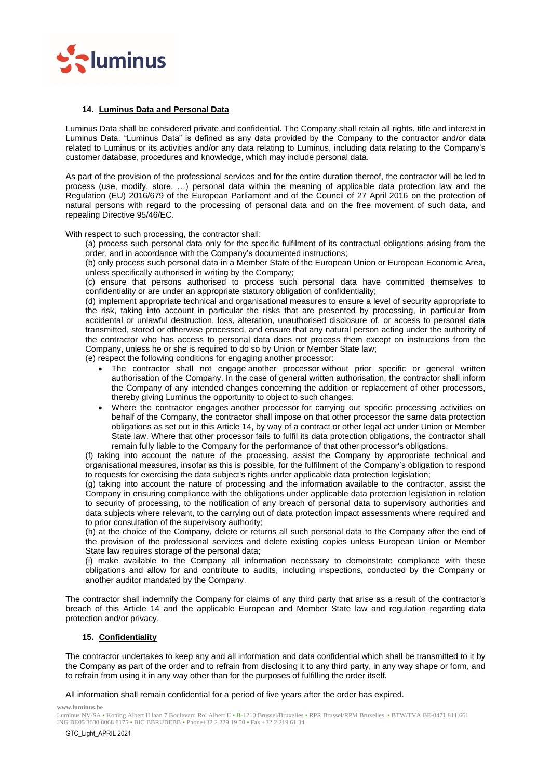

### **14. Luminus Data and Personal Data**

Luminus Data shall be considered private and confidential. The Company shall retain all rights, title and interest in Luminus Data. "Luminus Data" is defined as any data provided by the Company to the contractor and/or data related to Luminus or its activities and/or any data relating to Luminus, including data relating to the Company's customer database, procedures and knowledge, which may include personal data.

As part of the provision of the professional services and for the entire duration thereof, the contractor will be led to process (use, modify, store, …) personal data within the meaning of applicable data protection law and the Regulation (EU) 2016/679 of the European Parliament and of the Council of 27 April 2016 on the protection of natural persons with regard to the processing of personal data and on the free movement of such data, and repealing Directive 95/46/EC.

With respect to such processing, the contractor shall:

(a) process such personal data only for the specific fulfilment of its contractual obligations arising from the order, and in accordance with the Company's documented instructions;

(b) only process such personal data in a Member State of the European Union or European Economic Area, unless specifically authorised in writing by the Company;

(c) ensure that persons authorised to process such personal data have committed themselves to confidentiality or are under an appropriate statutory obligation of confidentiality;

(d) implement appropriate technical and organisational measures to ensure a level of security appropriate to the risk, taking into account in particular the risks that are presented by processing, in particular from accidental or unlawful destruction, loss, alteration, unauthorised disclosure of, or access to personal data transmitted, stored or otherwise processed, and ensure that any natural person acting under the authority of the contractor who has access to personal data does not process them except on instructions from the Company, unless he or she is required to do so by Union or Member State law;

(e) respect the following conditions for engaging another processor:

- The contractor shall not engage another processor without prior specific or general written authorisation of the Company. In the case of general written authorisation, the contractor shall inform the Company of any intended changes concerning the addition or replacement of other processors, thereby giving Luminus the opportunity to object to such changes.
- Where the contractor engages another processor for carrying out specific processing activities on behalf of the Company, the contractor shall impose on that other processor the same data protection obligations as set out in this Article 14, by way of a contract or other legal act under Union or Member State law. Where that other processor fails to fulfil its data protection obligations, the contractor shall remain fully liable to the Company for the performance of that other processor's obligations.

(f) taking into account the nature of the processing, assist the Company by appropriate technical and organisational measures, insofar as this is possible, for the fulfilment of the Company's obligation to respond to requests for exercising the data subject's rights under applicable data protection legislation;

(g) taking into account the nature of processing and the information available to the contractor, assist the Company in ensuring compliance with the obligations under applicable data protection legislation in relation to security of processing, to the notification of any breach of personal data to supervisory authorities and data subjects where relevant, to the carrying out of data protection impact assessments where required and to prior consultation of the supervisory authority;

(h) at the choice of the Company, delete or returns all such personal data to the Company after the end of the provision of the professional services and delete existing copies unless European Union or Member State law requires storage of the personal data;

(i) make available to the Company all information necessary to demonstrate compliance with these obligations and allow for and contribute to audits, including inspections, conducted by the Company or another auditor mandated by the Company.

The contractor shall indemnify the Company for claims of any third party that arise as a result of the contractor's breach of this Article 14 and the applicable European and Member State law and regulation regarding data protection and/or privacy.

### **15. Confidentiality**

The contractor undertakes to keep any and all information and data confidential which shall be transmitted to it by the Company as part of the order and to refrain from disclosing it to any third party, in any way shape or form, and to refrain from using it in any way other than for the purposes of fulfilling the order itself.

All information shall remain confidential for a period of five years after the order has expired.

Luminus NV/SA • Koning Albert II laan 7 Boulevard Roi Albert II • B-1210 Brussel/Bruxelles • RPR Brussel/RPM Bruxelles • BTW/TVA BE-0471.811.661 ING BE05 3630 8068 8175 • BIC BBRUBEBB • Phone+32 2 229 19 50 • Fax +32 2 219 61 34